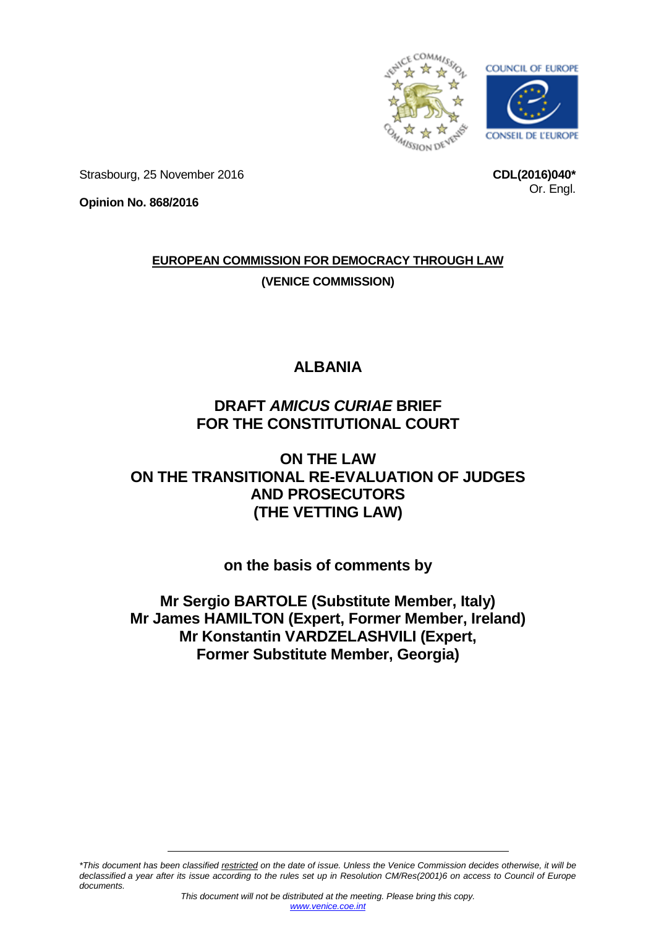

**CDL(2016)040\***

Or. Engl.

Strasbourg, 25 November 2016

**Opinion No. 868/2016**

**EUROPEAN COMMISSION FOR DEMOCRACY THROUGH LAW (VENICE COMMISSION)**

# **ALBANIA**

# **DRAFT** *AMICUS CURIAE* **BRIEF FOR THE CONSTITUTIONAL COURT**

# **ON THE LAW ON THE TRANSITIONAL RE-EVALUATION OF JUDGES AND PROSECUTORS (THE VETTING LAW)**

# **on the basis of comments by**

**Mr Sergio BARTOLE (Substitute Member, Italy) Mr James HAMILTON (Expert, Former Member, Ireland) Mr Konstantin VARDZELASHVILI (Expert, Former Substitute Member, Georgia)**

*\*This document has been classified restricted on the date of issue. Unless the Venice Commission decides otherwise, it will be declassified a year after its issue according to the rules set up in Resolution CM/Res(2001)6 on access to Council of Europe documents.*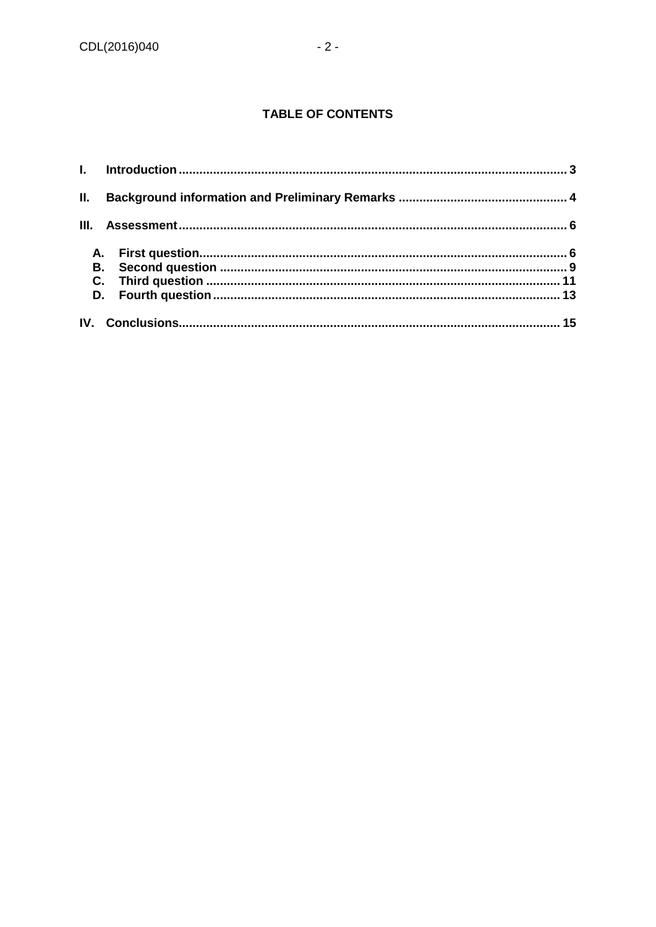## **TABLE OF CONTENTS**

| III. |  |
|------|--|
|      |  |
|      |  |
|      |  |
|      |  |
|      |  |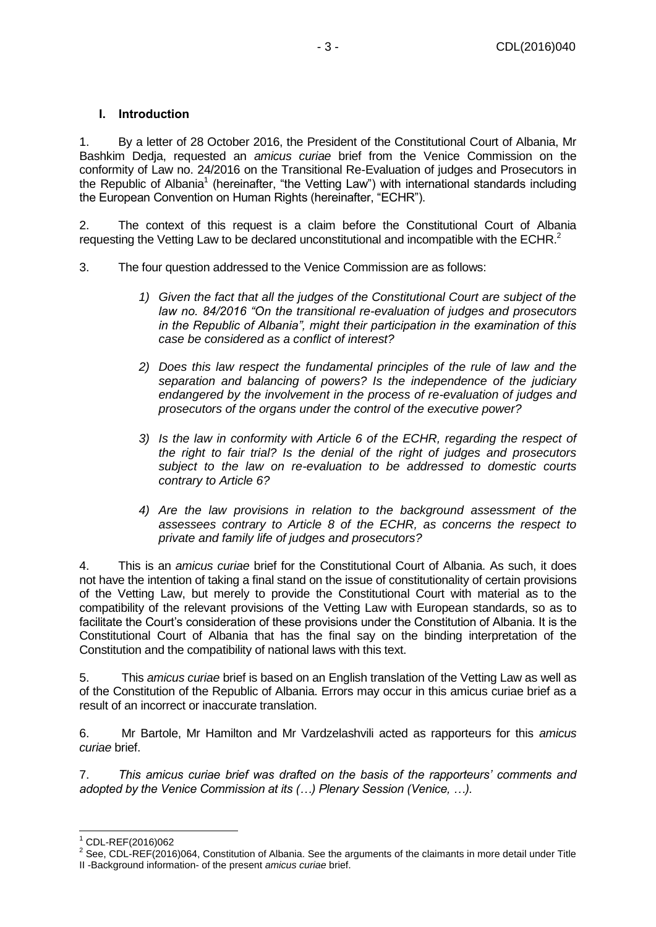### <span id="page-2-0"></span>**I. Introduction**

1. By a letter of 28 October 2016, the President of the Constitutional Court of Albania, Mr Bashkim Dedja, requested an *amicus curiae* brief from the Venice Commission on the conformity of Law no. 24/2016 on the Transitional Re-Evaluation of judges and Prosecutors in the Republic of Albania<sup>1</sup> (hereinafter, "the Vetting Law") with international standards including the European Convention on Human Rights (hereinafter, "ECHR").

2. The context of this request is a claim before the Constitutional Court of Albania requesting the Vetting Law to be declared unconstitutional and incompatible with the ECHR.<sup>2</sup>

- 3. The four question addressed to the Venice Commission are as follows:
	- *1) Given the fact that all the judges of the Constitutional Court are subject of the law no. 84/2016 "On the transitional re-evaluation of judges and prosecutors in the Republic of Albania", might their participation in the examination of this case be considered as a conflict of interest?*
	- *2) Does this law respect the fundamental principles of the rule of law and the separation and balancing of powers? Is the independence of the judiciary endangered by the involvement in the process of re-evaluation of judges and prosecutors of the organs under the control of the executive power?*
	- *3) Is the law in conformity with Article 6 of the ECHR, regarding the respect of the right to fair trial? Is the denial of the right of judges and prosecutors subject to the law on re-evaluation to be addressed to domestic courts contrary to Article 6?*
	- *4) Are the law provisions in relation to the background assessment of the assessees contrary to Article 8 of the ECHR, as concerns the respect to private and family life of judges and prosecutors?*

4. This is an *amicus curiae* brief for the Constitutional Court of Albania. As such, it does not have the intention of taking a final stand on the issue of constitutionality of certain provisions of the Vetting Law, but merely to provide the Constitutional Court with material as to the compatibility of the relevant provisions of the Vetting Law with European standards, so as to facilitate the Court's consideration of these provisions under the Constitution of Albania. It is the Constitutional Court of Albania that has the final say on the binding interpretation of the Constitution and the compatibility of national laws with this text.

5. This *amicus curiae* brief is based on an English translation of the Vetting Law as well as of the Constitution of the Republic of Albania. Errors may occur in this amicus curiae brief as a result of an incorrect or inaccurate translation.

6. Mr Bartole, Mr Hamilton and Mr Vardzelashvili acted as rapporteurs for this *amicus curiae* brief.

7. *This amicus curiae brief was drafted on the basis of the rapporteurs' comments and adopted by the Venice Commission at its (…) Plenary Session (Venice, …).* 

-

 $1$  CDL-REF(2016)062

<sup>&</sup>lt;sup>2</sup> See, CDL-REF(2016)064, Constitution of Albania. See the arguments of the claimants in more detail under Title II -Background information- of the present *amicus curiae* brief.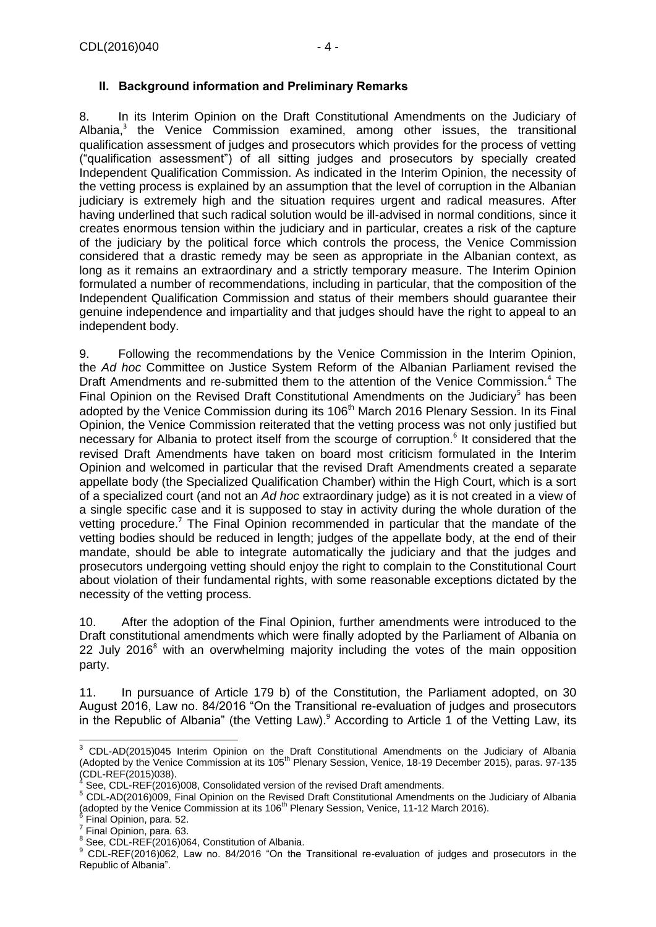#### <span id="page-3-0"></span>**II. Background information and Preliminary Remarks**

8. In its Interim Opinion on the Draft Constitutional Amendments on the Judiciary of Albania, $3$  the Venice Commission examined, among other issues, the transitional qualification assessment of judges and prosecutors which provides for the process of vetting ("qualification assessment") of all sitting judges and prosecutors by specially created Independent Qualification Commission. As indicated in the Interim Opinion, the necessity of the vetting process is explained by an assumption that the level of corruption in the Albanian judiciary is extremely high and the situation requires urgent and radical measures. After having underlined that such radical solution would be ill-advised in normal conditions, since it creates enormous tension within the judiciary and in particular, creates a risk of the capture of the judiciary by the political force which controls the process, the Venice Commission considered that a drastic remedy may be seen as appropriate in the Albanian context, as long as it remains an extraordinary and a strictly temporary measure. The Interim Opinion formulated a number of recommendations, including in particular, that the composition of the Independent Qualification Commission and status of their members should guarantee their genuine independence and impartiality and that judges should have the right to appeal to an independent body.

9. Following the recommendations by the Venice Commission in the Interim Opinion, the *Ad hoc* Committee on Justice System Reform of the Albanian Parliament revised the Draft Amendments and re-submitted them to the attention of the Venice Commission.<sup>4</sup> The Final Opinion on the Revised Draft Constitutional Amendments on the Judiciary<sup>5</sup> has been adopted by the Venice Commission during its 106<sup>th</sup> March 2016 Plenary Session. In its Final Opinion, the Venice Commission reiterated that the vetting process was not only justified but necessary for Albania to protect itself from the scourge of corruption.<sup>6</sup> It considered that the revised Draft Amendments have taken on board most criticism formulated in the Interim Opinion and welcomed in particular that the revised Draft Amendments created a separate appellate body (the Specialized Qualification Chamber) within the High Court, which is a sort of a specialized court (and not an *Ad hoc* extraordinary judge) as it is not created in a view of a single specific case and it is supposed to stay in activity during the whole duration of the vetting procedure.<sup>7</sup> The Final Opinion recommended in particular that the mandate of the vetting bodies should be reduced in length; judges of the appellate body, at the end of their mandate, should be able to integrate automatically the judiciary and that the judges and prosecutors undergoing vetting should enjoy the right to complain to the Constitutional Court about violation of their fundamental rights, with some reasonable exceptions dictated by the necessity of the vetting process.

10. After the adoption of the Final Opinion, further amendments were introduced to the Draft constitutional amendments which were finally adopted by the Parliament of Albania on 22 July 2016<sup>8</sup> with an overwhelming majority including the votes of the main opposition party.

11. In pursuance of Article 179 b) of the Constitution, the Parliament adopted, on 30 August 2016, Law no. 84/2016 "On the Transitional re-evaluation of judges and prosecutors in the Republic of Albania" (the Vetting Law).<sup>9</sup> According to Article 1 of the Vetting Law, its

- Final Opinion, para. 52.
- 7 Final Opinion, para. 63.

<sup>-</sup> $3$  CDL-AD(2015)045 Interim Opinion on the Draft Constitutional Amendments on the Judiciary of Albania (Adopted by the Venice Commission at its 105<sup>th</sup> Plenary Session, Venice, 18-19 December 2015), paras. 97-135  $(CDL-REF(2015)038).$ 

See, CDL-REF(2016)008, Consolidated version of the revised Draft amendments.

<sup>5</sup> CDL-AD(2016)009, Final Opinion on the Revised Draft Constitutional Amendments on the Judiciary of Albania (adopted by the Venice Commission at its 106<sup>th</sup> Plenary Session, Venice, 11-12 March 2016).

<sup>8</sup> See, CDL-REF(2016)064, Constitution of Albania.

<sup>&</sup>lt;sup>9</sup> CDL-REF(2016)062, Law no. 84/2016 "On the Transitional re-evaluation of judges and prosecutors in the Republic of Albania".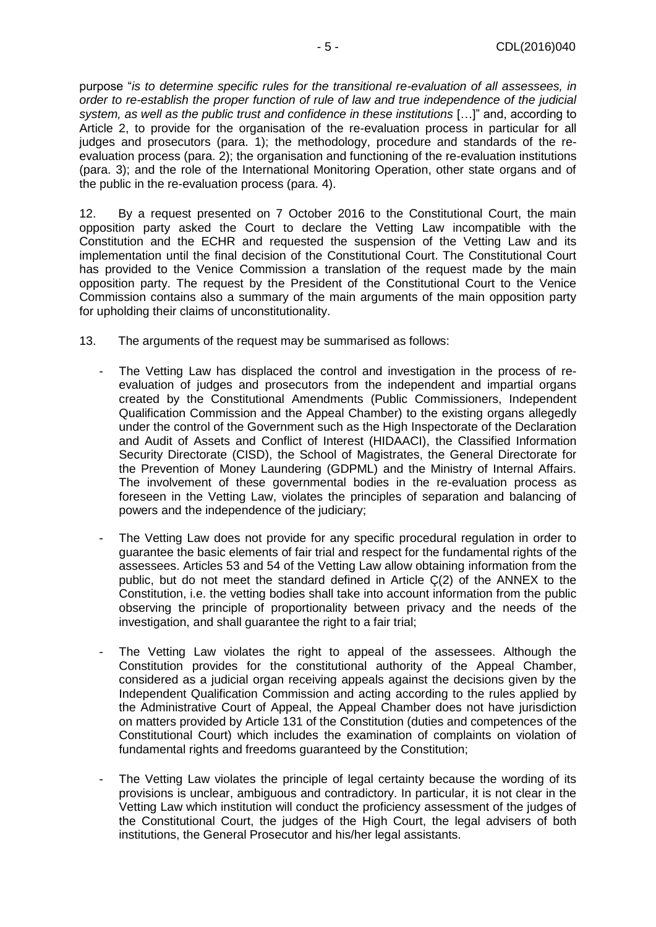purpose "*is to determine specific rules for the transitional re-evaluation of all assessees, in order to re-establish the proper function of rule of law and true independence of the judicial system, as well as the public trust and confidence in these institutions* […]" and, according to Article 2, to provide for the organisation of the re-evaluation process in particular for all judges and prosecutors (para. 1); the methodology, procedure and standards of the reevaluation process (para. 2); the organisation and functioning of the re-evaluation institutions (para. 3); and the role of the International Monitoring Operation, other state organs and of the public in the re-evaluation process (para. 4).

12. By a request presented on 7 October 2016 to the Constitutional Court, the main opposition party asked the Court to declare the Vetting Law incompatible with the Constitution and the ECHR and requested the suspension of the Vetting Law and its implementation until the final decision of the Constitutional Court. The Constitutional Court has provided to the Venice Commission a translation of the request made by the main opposition party. The request by the President of the Constitutional Court to the Venice Commission contains also a summary of the main arguments of the main opposition party for upholding their claims of unconstitutionality.

- 13. The arguments of the request may be summarised as follows:
	- The Vetting Law has displaced the control and investigation in the process of reevaluation of judges and prosecutors from the independent and impartial organs created by the Constitutional Amendments (Public Commissioners, Independent Qualification Commission and the Appeal Chamber) to the existing organs allegedly under the control of the Government such as the High Inspectorate of the Declaration and Audit of Assets and Conflict of Interest (HIDAACI), the Classified Information Security Directorate (CISD), the School of Magistrates, the General Directorate for the Prevention of Money Laundering (GDPML) and the Ministry of Internal Affairs. The involvement of these governmental bodies in the re-evaluation process as foreseen in the Vetting Law, violates the principles of separation and balancing of powers and the independence of the judiciary;
	- The Vetting Law does not provide for any specific procedural regulation in order to guarantee the basic elements of fair trial and respect for the fundamental rights of the assessees. Articles 53 and 54 of the Vetting Law allow obtaining information from the public, but do not meet the standard defined in Article Ç(2) of the ANNEX to the Constitution, i.e. the vetting bodies shall take into account information from the public observing the principle of proportionality between privacy and the needs of the investigation, and shall guarantee the right to a fair trial;
	- The Vetting Law violates the right to appeal of the assessees. Although the Constitution provides for the constitutional authority of the Appeal Chamber, considered as a judicial organ receiving appeals against the decisions given by the Independent Qualification Commission and acting according to the rules applied by the Administrative Court of Appeal, the Appeal Chamber does not have jurisdiction on matters provided by Article 131 of the Constitution (duties and competences of the Constitutional Court) which includes the examination of complaints on violation of fundamental rights and freedoms guaranteed by the Constitution;
	- The Vetting Law violates the principle of legal certainty because the wording of its provisions is unclear, ambiguous and contradictory. In particular, it is not clear in the Vetting Law which institution will conduct the proficiency assessment of the judges of the Constitutional Court, the judges of the High Court, the legal advisers of both institutions, the General Prosecutor and his/her legal assistants.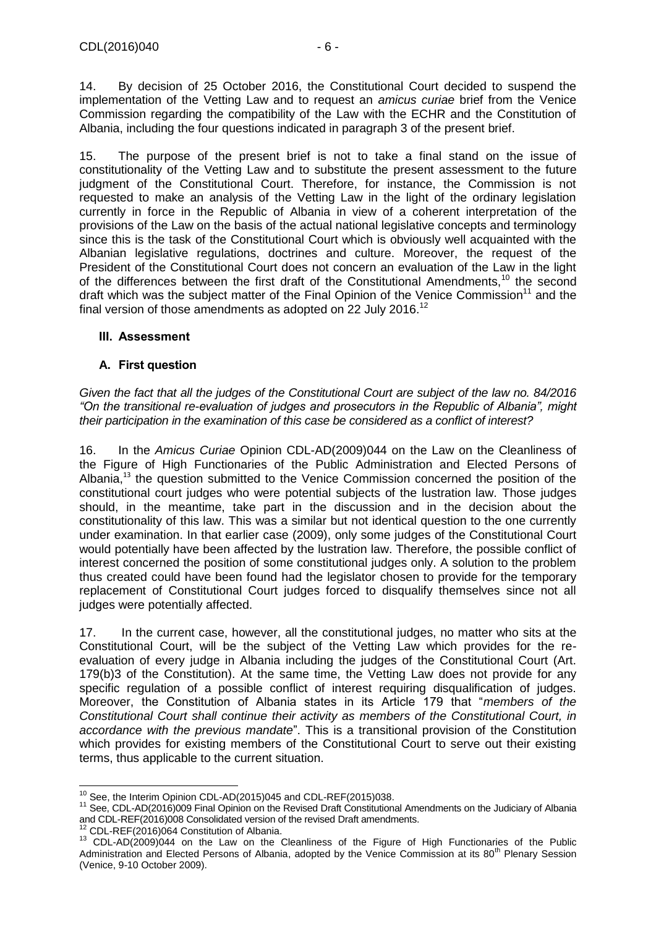14. By decision of 25 October 2016, the Constitutional Court decided to suspend the implementation of the Vetting Law and to request an *amicus curiae* brief from the Venice Commission regarding the compatibility of the Law with the ECHR and the Constitution of Albania, including the four questions indicated in paragraph 3 of the present brief.

15. The purpose of the present brief is not to take a final stand on the issue of constitutionality of the Vetting Law and to substitute the present assessment to the future judgment of the Constitutional Court. Therefore, for instance, the Commission is not requested to make an analysis of the Vetting Law in the light of the ordinary legislation currently in force in the Republic of Albania in view of a coherent interpretation of the provisions of the Law on the basis of the actual national legislative concepts and terminology since this is the task of the Constitutional Court which is obviously well acquainted with the Albanian legislative regulations, doctrines and culture. Moreover, the request of the President of the Constitutional Court does not concern an evaluation of the Law in the light of the differences between the first draft of the Constitutional Amendments,<sup>10</sup> the second draft which was the subject matter of the Final Opinion of the Venice Commission<sup>11</sup> and the final version of those amendments as adopted on 22 July 2016.<sup>12</sup>

### <span id="page-5-0"></span>**III. Assessment**

### <span id="page-5-1"></span>**A. First question**

*Given the fact that all the judges of the Constitutional Court are subject of the law no. 84/2016 "On the transitional re-evaluation of judges and prosecutors in the Republic of Albania", might their participation in the examination of this case be considered as a conflict of interest?* 

16. In the *Amicus Curiae* Opinion CDL-AD(2009)044 on the Law on the Cleanliness of the Figure of High Functionaries of the Public Administration and Elected Persons of Albania,<sup>13</sup> the question submitted to the Venice Commission concerned the position of the constitutional court judges who were potential subjects of the lustration law. Those judges should, in the meantime, take part in the discussion and in the decision about the constitutionality of this law. This was a similar but not identical question to the one currently under examination. In that earlier case (2009), only some judges of the Constitutional Court would potentially have been affected by the lustration law. Therefore, the possible conflict of interest concerned the position of some constitutional judges only. A solution to the problem thus created could have been found had the legislator chosen to provide for the temporary replacement of Constitutional Court judges forced to disqualify themselves since not all judges were potentially affected.

17. In the current case, however, all the constitutional judges, no matter who sits at the Constitutional Court, will be the subject of the Vetting Law which provides for the reevaluation of every judge in Albania including the judges of the Constitutional Court (Art. 179(b)3 of the Constitution). At the same time, the Vetting Law does not provide for any specific regulation of a possible conflict of interest requiring disqualification of judges. Moreover, the Constitution of Albania states in its Article 179 that "*members of the Constitutional Court shall continue their activity as members of the Constitutional Court, in accordance with the previous mandate*". This is a transitional provision of the Constitution which provides for existing members of the Constitutional Court to serve out their existing terms, thus applicable to the current situation.

<sup>-</sup> $10$  See, the Interim Opinion CDL-AD(2015)045 and CDL-REF(2015)038.

<sup>11</sup> See, CDL-AD(2016)009 Final Opinion on the Revised Draft Constitutional Amendments on the Judiciary of Albania and CDL-REF(2016)008 Consolidated version of the revised Draft amendments.

<sup>12</sup> CDL-REF(2016)064 Constitution of Albania.

<sup>&</sup>lt;sup>13</sup> CDL-AD(2009)044 on the Law on the Cleanliness of the Figure of High Functionaries of the Public Administration and Elected Persons of Albania, adopted by the Venice Commission at its 80<sup>th</sup> Plenary Session (Venice, 9-10 October 2009).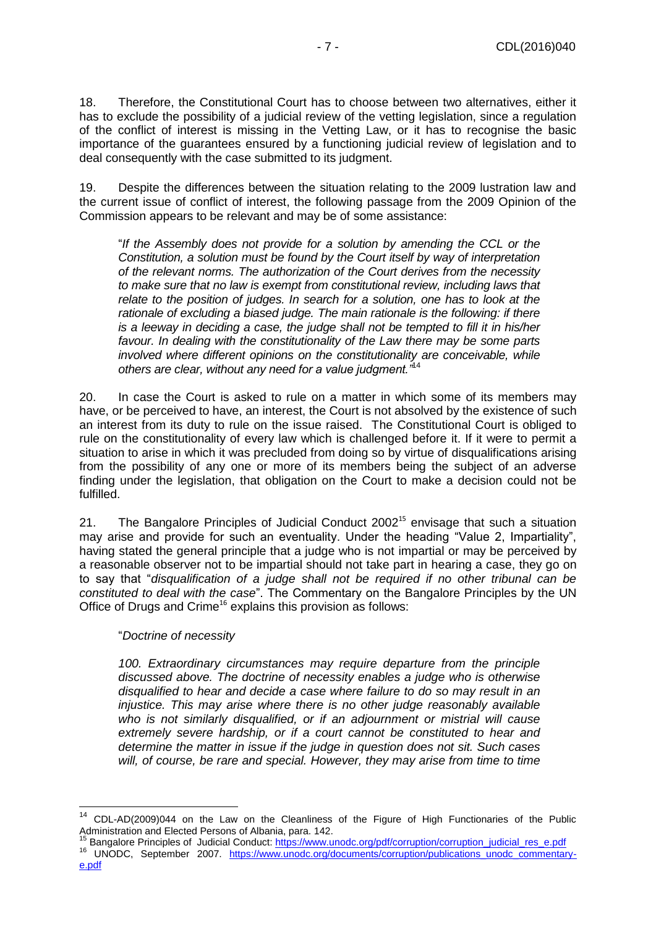18. Therefore, the Constitutional Court has to choose between two alternatives, either it has to exclude the possibility of a judicial review of the vetting legislation, since a regulation of the conflict of interest is missing in the Vetting Law, or it has to recognise the basic importance of the guarantees ensured by a functioning judicial review of legislation and to deal consequently with the case submitted to its judgment.

19. Despite the differences between the situation relating to the 2009 lustration law and the current issue of conflict of interest, the following passage from the 2009 Opinion of the Commission appears to be relevant and may be of some assistance:

"*If the Assembly does not provide for a solution by amending the CCL or the Constitution, a solution must be found by the Court itself by way of interpretation of the relevant norms. The authorization of the Court derives from the necessity to make sure that no law is exempt from constitutional review, including laws that relate to the position of judges. In search for a solution, one has to look at the rationale of excluding a biased judge. The main rationale is the following: if there is a leeway in deciding a case, the judge shall not be tempted to fill it in his/her favour. In dealing with the constitutionality of the Law there may be some parts involved where different opinions on the constitutionality are conceivable, while others are clear, without any need for a value judgment."*<sup>14</sup>

20. In case the Court is asked to rule on a matter in which some of its members may have, or be perceived to have, an interest, the Court is not absolved by the existence of such an interest from its duty to rule on the issue raised. The Constitutional Court is obliged to rule on the constitutionality of every law which is challenged before it. If it were to permit a situation to arise in which it was precluded from doing so by virtue of disqualifications arising from the possibility of any one or more of its members being the subject of an adverse finding under the legislation, that obligation on the Court to make a decision could not be fulfilled.

21. The Bangalore Principles of Judicial Conduct  $2002<sup>15</sup>$  envisage that such a situation may arise and provide for such an eventuality. Under the heading "Value 2, Impartiality", having stated the general principle that a judge who is not impartial or may be perceived by a reasonable observer not to be impartial should not take part in hearing a case, they go on to say that "*disqualification of a judge shall not be required if no other tribunal can be constituted to deal with the case*". The Commentary on the Bangalore Principles by the UN Office of Drugs and Crime<sup>16</sup> explains this provision as follows:

"*Doctrine of necessity*

-

*100. Extraordinary circumstances may require departure from the principle discussed above. The doctrine of necessity enables a judge who is otherwise disqualified to hear and decide a case where failure to do so may result in an injustice. This may arise where there is no other judge reasonably available who is not similarly disqualified, or if an adjournment or mistrial will cause extremely severe hardship, or if a court cannot be constituted to hear and determine the matter in issue if the judge in question does not sit. Such cases will, of course, be rare and special. However, they may arise from time to time*

<sup>&</sup>lt;sup>14</sup> CDL-AD(2009)044 on the Law on the Cleanliness of the Figure of High Functionaries of the Public Administration and Elected Persons of Albania, para. 142.

Bangalore Principles of Judicial Conduct: [https://www.unodc.org/pdf/corruption/corruption\\_judicial\\_res\\_e.pdf](https://www.unodc.org/pdf/corruption/corruption_judicial_res_e.pdf) 16 UNODC, September 2007. [https://www.unodc.org/documents/corruption/publications\\_unodc\\_commentary](https://www.unodc.org/documents/corruption/publications_unodc_commentary-e.pdf)[e.pdf](https://www.unodc.org/documents/corruption/publications_unodc_commentary-e.pdf)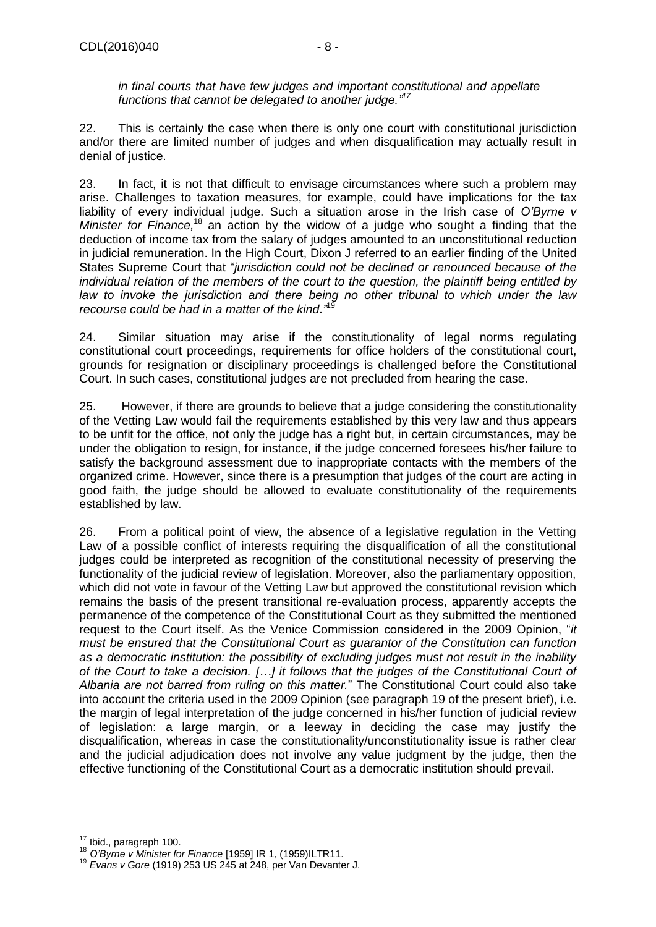*in final courts that have few judges and important constitutional and appellate functions that cannot be delegated to another judge."<sup>17</sup>*

22. This is certainly the case when there is only one court with constitutional jurisdiction and/or there are limited number of judges and when disqualification may actually result in denial of justice.

23. In fact, it is not that difficult to envisage circumstances where such a problem may arise. Challenges to taxation measures, for example, could have implications for the tax liability of every individual judge. Such a situation arose in the Irish case of *O'Byrne v Minister for Finance,* <sup>18</sup> an action by the widow of a judge who sought a finding that the deduction of income tax from the salary of judges amounted to an unconstitutional reduction in judicial remuneration. In the High Court, Dixon J referred to an earlier finding of the United States Supreme Court that "*jurisdiction could not be declined or renounced because of the individual relation of the members of the court to the question, the plaintiff being entitled by law to invoke the jurisdiction and there being no other tribunal to which under the law recourse could be had in a matter of the kind*.*"* 19

24. Similar situation may arise if the constitutionality of legal norms regulating constitutional court proceedings, requirements for office holders of the constitutional court, grounds for resignation or disciplinary proceedings is challenged before the Constitutional Court. In such cases, constitutional judges are not precluded from hearing the case.

25. However, if there are grounds to believe that a judge considering the constitutionality of the Vetting Law would fail the requirements established by this very law and thus appears to be unfit for the office, not only the judge has a right but, in certain circumstances, may be under the obligation to resign, for instance, if the judge concerned foresees his/her failure to satisfy the background assessment due to inappropriate contacts with the members of the organized crime. However, since there is a presumption that judges of the court are acting in good faith, the judge should be allowed to evaluate constitutionality of the requirements established by law.

26. From a political point of view, the absence of a legislative regulation in the Vetting Law of a possible conflict of interests requiring the disqualification of all the constitutional judges could be interpreted as recognition of the constitutional necessity of preserving the functionality of the judicial review of legislation. Moreover, also the parliamentary opposition, which did not vote in favour of the Vetting Law but approved the constitutional revision which remains the basis of the present transitional re-evaluation process, apparently accepts the permanence of the competence of the Constitutional Court as they submitted the mentioned request to the Court itself. As the Venice Commission considered in the 2009 Opinion, "*it must be ensured that the Constitutional Court as guarantor of the Constitution can function as a democratic institution: the possibility of excluding judges must not result in the inability of the Court to take a decision. […] it follows that the judges of the Constitutional Court of Albania are not barred from ruling on this matter.*" The Constitutional Court could also take into account the criteria used in the 2009 Opinion (see paragraph 19 of the present brief), i.e. the margin of legal interpretation of the judge concerned in his/her function of judicial review of legislation: a large margin, or a leeway in deciding the case may justify the disqualification, whereas in case the constitutionality/unconstitutionality issue is rather clear and the judicial adjudication does not involve any value judgment by the judge, then the effective functioning of the Constitutional Court as a democratic institution should prevail.

-

 $17$  Ibid., paragraph 100.

<sup>18</sup> *O'Byrne v Minister for Finance* [1959] IR 1, (1959)ILTR11.

<sup>19</sup> *Evans v Gore* (1919) 253 US 245 at 248, per Van Devanter J.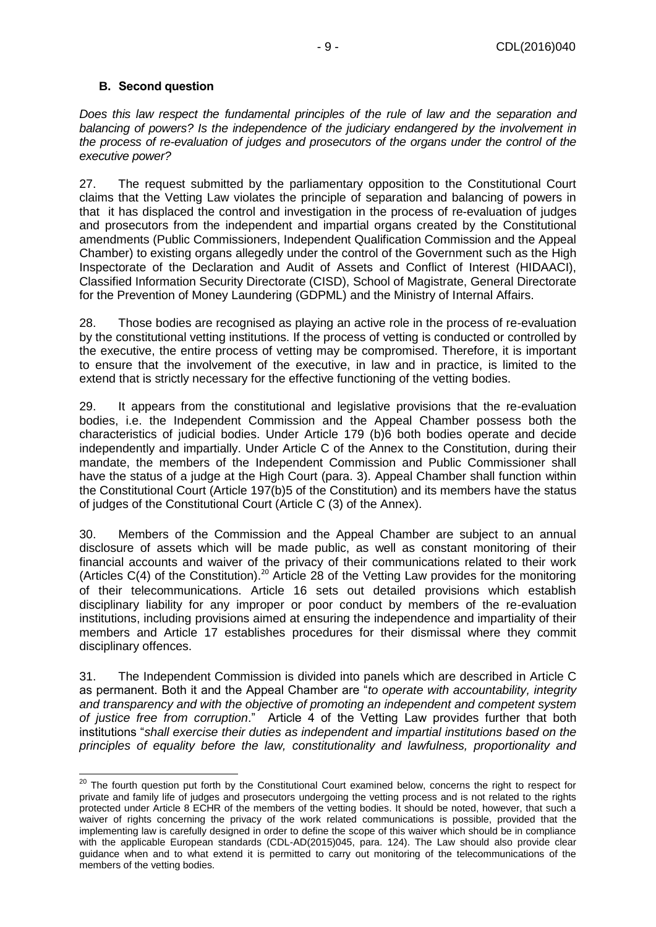### <span id="page-8-0"></span>**B. Second question**

 $\overline{a}$ 

*Does this law respect the fundamental principles of the rule of law and the separation and balancing of powers? Is the independence of the judiciary endangered by the involvement in the process of re-evaluation of judges and prosecutors of the organs under the control of the executive power?*

27. The request submitted by the parliamentary opposition to the Constitutional Court claims that the Vetting Law violates the principle of separation and balancing of powers in that it has displaced the control and investigation in the process of re-evaluation of judges and prosecutors from the independent and impartial organs created by the Constitutional amendments (Public Commissioners, Independent Qualification Commission and the Appeal Chamber) to existing organs allegedly under the control of the Government such as the High Inspectorate of the Declaration and Audit of Assets and Conflict of Interest (HIDAACI), Classified Information Security Directorate (CISD), School of Magistrate, General Directorate for the Prevention of Money Laundering (GDPML) and the Ministry of Internal Affairs.

28. Those bodies are recognised as playing an active role in the process of re-evaluation by the constitutional vetting institutions. If the process of vetting is conducted or controlled by the executive, the entire process of vetting may be compromised. Therefore, it is important to ensure that the involvement of the executive, in law and in practice, is limited to the extend that is strictly necessary for the effective functioning of the vetting bodies.

29. It appears from the constitutional and legislative provisions that the re-evaluation bodies, i.e. the Independent Commission and the Appeal Chamber possess both the characteristics of judicial bodies. Under Article 179 (b)6 both bodies operate and decide independently and impartially. Under Article C of the Annex to the Constitution, during their mandate, the members of the Independent Commission and Public Commissioner shall have the status of a judge at the High Court (para. 3). Appeal Chamber shall function within the Constitutional Court (Article 197(b)5 of the Constitution) and its members have the status of judges of the Constitutional Court (Article C (3) of the Annex).

30. Members of the Commission and the Appeal Chamber are subject to an annual disclosure of assets which will be made public, as well as constant monitoring of their financial accounts and waiver of the privacy of their communications related to their work (Articles  $C(4)$  of the Constitution).<sup>20</sup> Article 28 of the Vetting Law provides for the monitoring of their telecommunications. Article 16 sets out detailed provisions which establish disciplinary liability for any improper or poor conduct by members of the re-evaluation institutions, including provisions aimed at ensuring the independence and impartiality of their members and Article 17 establishes procedures for their dismissal where they commit disciplinary offences.

31. The Independent Commission is divided into panels which are described in Article C as permanent. Both it and the Appeal Chamber are "*to operate with accountability, integrity and transparency and with the objective of promoting an independent and competent system of justice free from corruption*." Article 4 of the Vetting Law provides further that both institutions "*shall exercise their duties as independent and impartial institutions based on the principles of equality before the law, constitutionality and lawfulness, proportionality and* 

<sup>&</sup>lt;sup>20</sup> The fourth question put forth by the Constitutional Court examined below, concerns the right to respect for private and family life of judges and prosecutors undergoing the vetting process and is not related to the rights protected under Article 8 ECHR of the members of the vetting bodies. It should be noted, however, that such a waiver of rights concerning the privacy of the work related communications is possible, provided that the implementing law is carefully designed in order to define the scope of this waiver which should be in compliance with the applicable European standards (CDL-AD(2015)045, para. 124). The Law should also provide clear guidance when and to what extend it is permitted to carry out monitoring of the telecommunications of the members of the vetting bodies.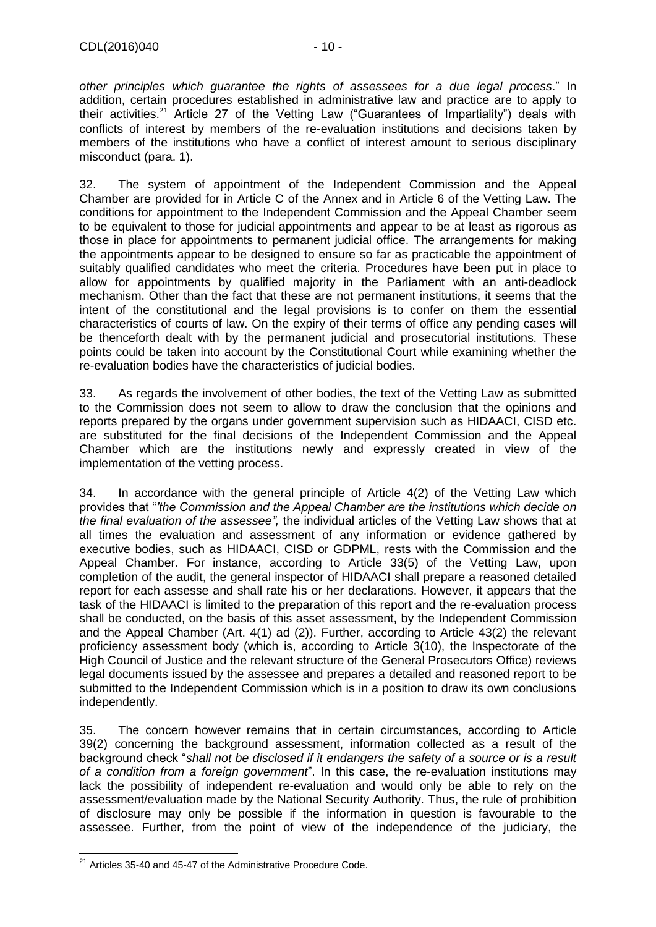*other principles which guarantee the rights of assessees for a due legal process*." In addition, certain procedures established in administrative law and practice are to apply to their activities.<sup>21</sup> Article 27 of the Vetting Law ("Guarantees of Impartiality") deals with conflicts of interest by members of the re-evaluation institutions and decisions taken by members of the institutions who have a conflict of interest amount to serious disciplinary misconduct (para. 1).

32. The system of appointment of the Independent Commission and the Appeal Chamber are provided for in Article C of the Annex and in Article 6 of the Vetting Law. The conditions for appointment to the Independent Commission and the Appeal Chamber seem to be equivalent to those for judicial appointments and appear to be at least as rigorous as those in place for appointments to permanent judicial office. The arrangements for making the appointments appear to be designed to ensure so far as practicable the appointment of suitably qualified candidates who meet the criteria. Procedures have been put in place to allow for appointments by qualified majority in the Parliament with an anti-deadlock mechanism. Other than the fact that these are not permanent institutions, it seems that the intent of the constitutional and the legal provisions is to confer on them the essential characteristics of courts of law. On the expiry of their terms of office any pending cases will be thenceforth dealt with by the permanent judicial and prosecutorial institutions. These points could be taken into account by the Constitutional Court while examining whether the re-evaluation bodies have the characteristics of judicial bodies.

33. As regards the involvement of other bodies, the text of the Vetting Law as submitted to the Commission does not seem to allow to draw the conclusion that the opinions and reports prepared by the organs under government supervision such as HIDAACI, CISD etc. are substituted for the final decisions of the Independent Commission and the Appeal Chamber which are the institutions newly and expressly created in view of the implementation of the vetting process.

34. In accordance with the general principle of Article 4(2) of the Vetting Law which provides that "*'the Commission and the Appeal Chamber are the institutions which decide on the final evaluation of the assessee",* the individual articles of the Vetting Law shows that at all times the evaluation and assessment of any information or evidence gathered by executive bodies, such as HIDAACI, CISD or GDPML, rests with the Commission and the Appeal Chamber. For instance, according to Article 33(5) of the Vetting Law, upon completion of the audit, the general inspector of HIDAACI shall prepare a reasoned detailed report for each assesse and shall rate his or her declarations. However, it appears that the task of the HIDAACI is limited to the preparation of this report and the re-evaluation process shall be conducted, on the basis of this asset assessment, by the Independent Commission and the Appeal Chamber (Art. 4(1) ad (2)). Further, according to Article 43(2) the relevant proficiency assessment body (which is, according to Article 3(10), the Inspectorate of the High Council of Justice and the relevant structure of the General Prosecutors Office) reviews legal documents issued by the assessee and prepares a detailed and reasoned report to be submitted to the Independent Commission which is in a position to draw its own conclusions independently.

35. The concern however remains that in certain circumstances, according to Article 39(2) concerning the background assessment, information collected as a result of the background check "*shall not be disclosed if it endangers the safety of a source or is a result of a condition from a foreign government*". In this case, the re-evaluation institutions may lack the possibility of independent re-evaluation and would only be able to rely on the assessment/evaluation made by the National Security Authority. Thus, the rule of prohibition of disclosure may only be possible if the information in question is favourable to the assessee. Further, from the point of view of the independence of the judiciary, the

<sup>-</sup> $21$  Articles 35-40 and 45-47 of the Administrative Procedure Code.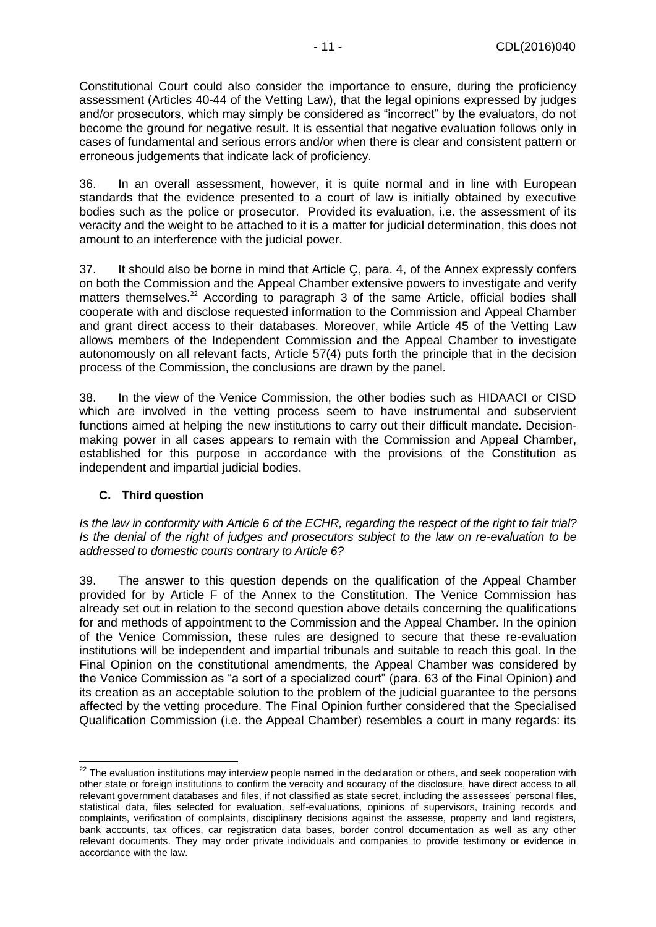Constitutional Court could also consider the importance to ensure, during the proficiency assessment (Articles 40-44 of the Vetting Law), that the legal opinions expressed by judges and/or prosecutors, which may simply be considered as "incorrect" by the evaluators, do not become the ground for negative result. It is essential that negative evaluation follows only in cases of fundamental and serious errors and/or when there is clear and consistent pattern or erroneous judgements that indicate lack of proficiency.

36. In an overall assessment, however, it is quite normal and in line with European standards that the evidence presented to a court of law is initially obtained by executive bodies such as the police or prosecutor. Provided its evaluation, i.e. the assessment of its veracity and the weight to be attached to it is a matter for judicial determination, this does not amount to an interference with the judicial power.

37. It should also be borne in mind that Article Ç, para. 4, of the Annex expressly confers on both the Commission and the Appeal Chamber extensive powers to investigate and verify matters themselves.<sup>22</sup> According to paragraph 3 of the same Article, official bodies shall cooperate with and disclose requested information to the Commission and Appeal Chamber and grant direct access to their databases. Moreover, while Article 45 of the Vetting Law allows members of the Independent Commission and the Appeal Chamber to investigate autonomously on all relevant facts, Article 57(4) puts forth the principle that in the decision process of the Commission, the conclusions are drawn by the panel.

38. In the view of the Venice Commission, the other bodies such as HIDAACI or CISD which are involved in the vetting process seem to have instrumental and subservient functions aimed at helping the new institutions to carry out their difficult mandate. Decisionmaking power in all cases appears to remain with the Commission and Appeal Chamber, established for this purpose in accordance with the provisions of the Constitution as independent and impartial judicial bodies.

### <span id="page-10-0"></span>**C. Third question**

-

*Is the law in conformity with Article 6 of the ECHR, regarding the respect of the right to fair trial? Is the denial of the right of judges and prosecutors subject to the law on re-evaluation to be addressed to domestic courts contrary to Article 6?* 

39. The answer to this question depends on the qualification of the Appeal Chamber provided for by Article F of the Annex to the Constitution. The Venice Commission has already set out in relation to the second question above details concerning the qualifications for and methods of appointment to the Commission and the Appeal Chamber. In the opinion of the Venice Commission, these rules are designed to secure that these re-evaluation institutions will be independent and impartial tribunals and suitable to reach this goal. In the Final Opinion on the constitutional amendments, the Appeal Chamber was considered by the Venice Commission as "a sort of a specialized court" (para. 63 of the Final Opinion) and its creation as an acceptable solution to the problem of the judicial guarantee to the persons affected by the vetting procedure. The Final Opinion further considered that the Specialised Qualification Commission (i.e. the Appeal Chamber) resembles a court in many regards: its

 $22$  The evaluation institutions may interview people named in the declaration or others, and seek cooperation with other state or foreign institutions to confirm the veracity and accuracy of the disclosure, have direct access to all relevant government databases and files, if not classified as state secret, including the assessees' personal files, statistical data, files selected for evaluation, self-evaluations, opinions of supervisors, training records and complaints, verification of complaints, disciplinary decisions against the assesse, property and land registers, bank accounts, tax offices, car registration data bases, border control documentation as well as any other relevant documents. They may order private individuals and companies to provide testimony or evidence in accordance with the law.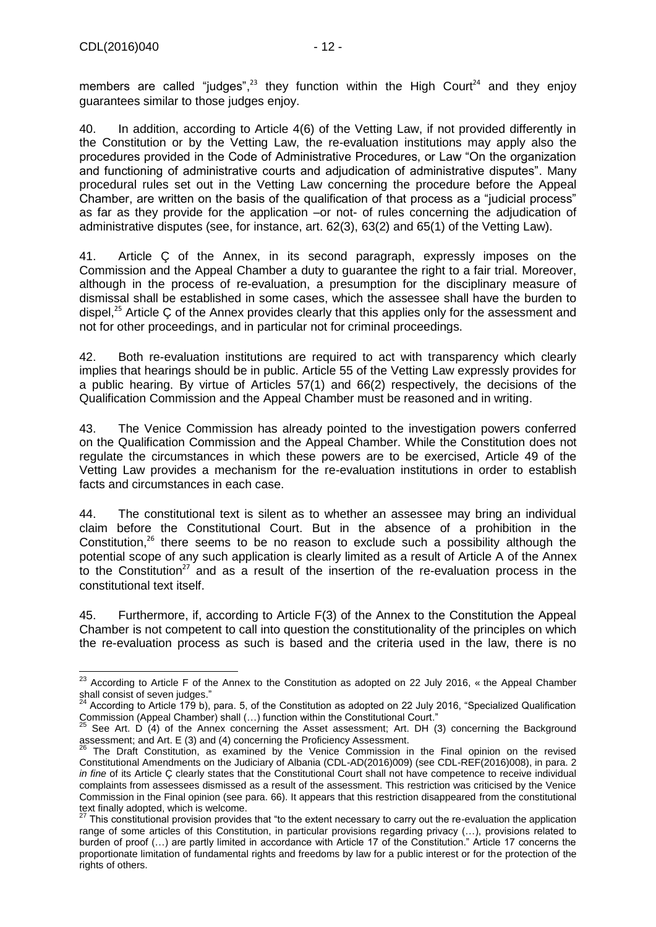members are called "judges", $^{23}$  they function within the High Court<sup>24</sup> and they enjoy guarantees similar to those judges enjoy.

40. In addition, according to Article 4(6) of the Vetting Law, if not provided differently in the Constitution or by the Vetting Law, the re-evaluation institutions may apply also the procedures provided in the Code of Administrative Procedures, or Law "On the organization and functioning of administrative courts and adjudication of administrative disputes". Many procedural rules set out in the Vetting Law concerning the procedure before the Appeal Chamber, are written on the basis of the qualification of that process as a "judicial process" as far as they provide for the application –or not- of rules concerning the adjudication of administrative disputes (see, for instance, art. 62(3), 63(2) and 65(1) of the Vetting Law).

41. Article Ç of the Annex, in its second paragraph, expressly imposes on the Commission and the Appeal Chamber a duty to guarantee the right to a fair trial. Moreover, although in the process of re-evaluation, a presumption for the disciplinary measure of dismissal shall be established in some cases, which the assessee shall have the burden to dispel, $^{25}$  Article Ç of the Annex provides clearly that this applies only for the assessment and not for other proceedings, and in particular not for criminal proceedings.

42. Both re-evaluation institutions are required to act with transparency which clearly implies that hearings should be in public. Article 55 of the Vetting Law expressly provides for a public hearing. By virtue of Articles 57(1) and 66(2) respectively, the decisions of the Qualification Commission and the Appeal Chamber must be reasoned and in writing.

43. The Venice Commission has already pointed to the investigation powers conferred on the Qualification Commission and the Appeal Chamber. While the Constitution does not regulate the circumstances in which these powers are to be exercised, Article 49 of the Vetting Law provides a mechanism for the re-evaluation institutions in order to establish facts and circumstances in each case.

44. The constitutional text is silent as to whether an assessee may bring an individual claim before the Constitutional Court. But in the absence of a prohibition in the Constitution, $26$  there seems to be no reason to exclude such a possibility although the potential scope of any such application is clearly limited as a result of Article A of the Annex to the Constitution<sup>27</sup> and as a result of the insertion of the re-evaluation process in the constitutional text itself.

45. Furthermore, if, according to Article F(3) of the Annex to the Constitution the Appeal Chamber is not competent to call into question the constitutionality of the principles on which the re-evaluation process as such is based and the criteria used in the law, there is no

<sup>-</sup> $^{23}$  According to Article F of the Annex to the Constitution as adopted on 22 July 2016, « the Appeal Chamber shall consist of seven judges."

 $24$  According to Article 179 b), para. 5, of the Constitution as adopted on 22 July 2016, "Specialized Qualification Commission (Appeal Chamber) shall (…) function within the Constitutional Court."

 $^{25}$  See Art. D (4) of the Annex concerning the Asset assessment; Art. DH (3) concerning the Background assessment; and Art. E (3) and (4) concerning the Proficiency Assessment.

<sup>26</sup> The Draft Constitution, as examined by the Venice Commission in the Final opinion on the revised Constitutional Amendments on the Judiciary of Albania (CDL-AD(2016)009) (see CDL-REF(2016)008), in para. 2 *in fine* of its Article Ç clearly states that the Constitutional Court shall not have competence to receive individual complaints from assessees dismissed as a result of the assessment. This restriction was criticised by the Venice Commission in the Final opinion (see para. 66). It appears that this restriction disappeared from the constitutional text finally adopted, which is welcome.

 $27$  This constitutional provision provides that "to the extent necessary to carry out the re-evaluation the application range of some articles of this Constitution, in particular provisions regarding privacy (…), provisions related to burden of proof (…) are partly limited in accordance with Article 17 of the Constitution." Article 17 concerns the proportionate limitation of fundamental rights and freedoms by law for a public interest or for the protection of the rights of others.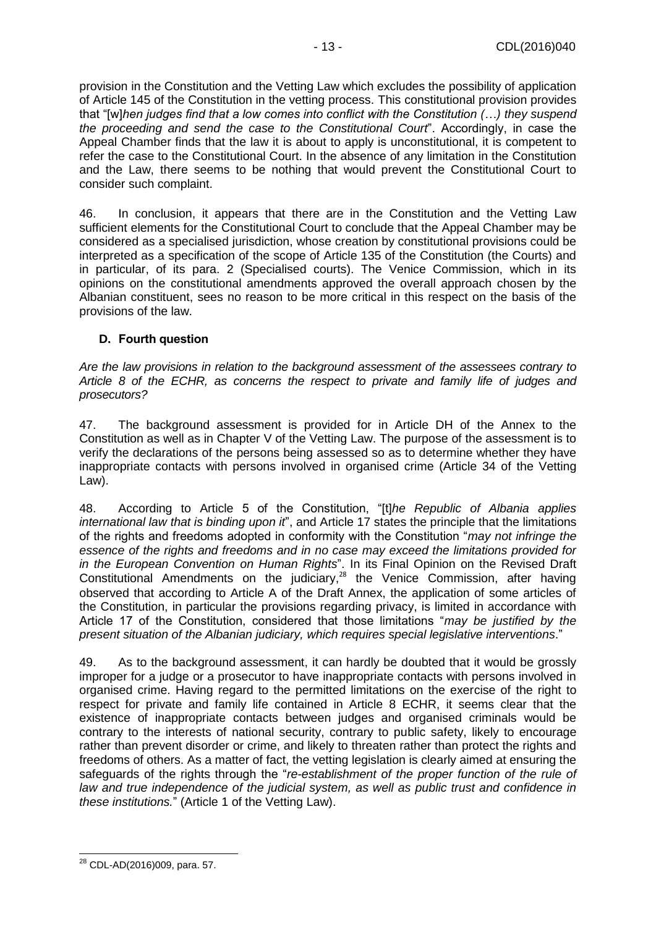provision in the Constitution and the Vetting Law which excludes the possibility of application of Article 145 of the Constitution in the vetting process. This constitutional provision provides that "[w]*hen judges find that a low comes into conflict with the Constitution (…) they suspend the proceeding and send the case to the Constitutional Court*". Accordingly, in case the Appeal Chamber finds that the law it is about to apply is unconstitutional, it is competent to refer the case to the Constitutional Court. In the absence of any limitation in the Constitution and the Law, there seems to be nothing that would prevent the Constitutional Court to consider such complaint.

46. In conclusion, it appears that there are in the Constitution and the Vetting Law sufficient elements for the Constitutional Court to conclude that the Appeal Chamber may be considered as a specialised jurisdiction, whose creation by constitutional provisions could be interpreted as a specification of the scope of Article 135 of the Constitution (the Courts) and in particular, of its para. 2 (Specialised courts). The Venice Commission, which in its opinions on the constitutional amendments approved the overall approach chosen by the Albanian constituent, sees no reason to be more critical in this respect on the basis of the provisions of the law.

#### <span id="page-12-0"></span>**D. Fourth question**

*Are the law provisions in relation to the background assessment of the assessees contrary to Article 8 of the ECHR, as concerns the respect to private and family life of judges and prosecutors?* 

47. The background assessment is provided for in Article DH of the Annex to the Constitution as well as in Chapter V of the Vetting Law. The purpose of the assessment is to verify the declarations of the persons being assessed so as to determine whether they have inappropriate contacts with persons involved in organised crime (Article 34 of the Vetting Law).

48. According to Article 5 of the Constitution, "[t]*he Republic of Albania applies international law that is binding upon it*", and Article 17 states the principle that the limitations of the rights and freedoms adopted in conformity with the Constitution "*may not infringe the essence of the rights and freedoms and in no case may exceed the limitations provided for in the European Convention on Human Rights*". In its Final Opinion on the Revised Draft Constitutional Amendments on the judiciary,<sup>28</sup> the Venice Commission, after having observed that according to Article A of the Draft Annex, the application of some articles of the Constitution, in particular the provisions regarding privacy, is limited in accordance with Article 17 of the Constitution, considered that those limitations "*may be justified by the present situation of the Albanian judiciary, which requires special legislative interventions*."

49. As to the background assessment, it can hardly be doubted that it would be grossly improper for a judge or a prosecutor to have inappropriate contacts with persons involved in organised crime. Having regard to the permitted limitations on the exercise of the right to respect for private and family life contained in Article 8 ECHR, it seems clear that the existence of inappropriate contacts between judges and organised criminals would be contrary to the interests of national security, contrary to public safety, likely to encourage rather than prevent disorder or crime, and likely to threaten rather than protect the rights and freedoms of others. As a matter of fact, the vetting legislation is clearly aimed at ensuring the safeguards of the rights through the "*re-establishment of the proper function of the rule of*  law and true independence of the judicial system, as well as public trust and confidence in *these institutions.*" (Article 1 of the Vetting Law).

<sup>-</sup><sup>28</sup> CDL-AD(2016)009, para. 57.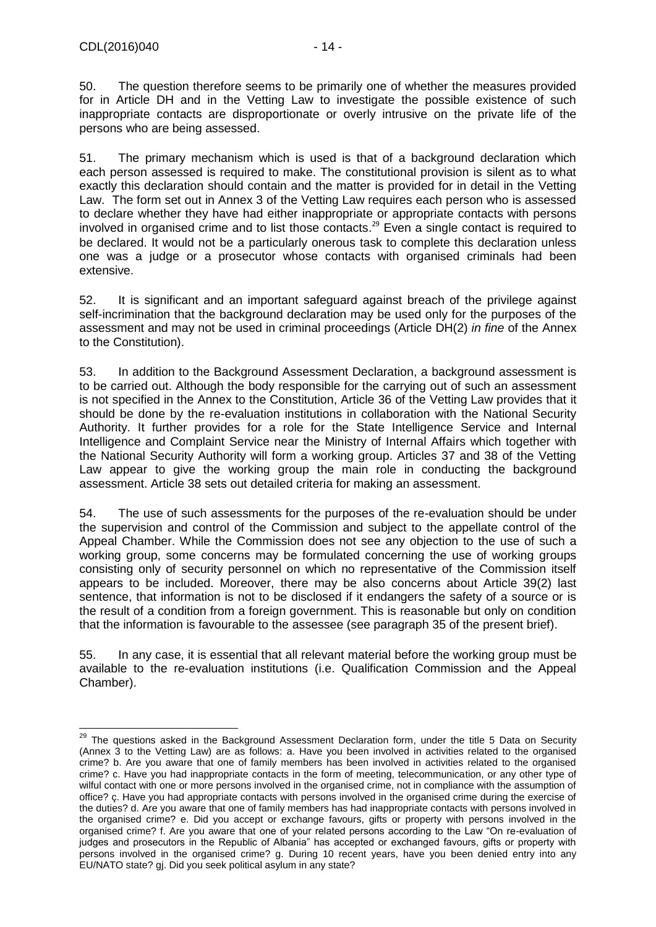-

50. The question therefore seems to be primarily one of whether the measures provided for in Article DH and in the Vetting Law to investigate the possible existence of such inappropriate contacts are disproportionate or overly intrusive on the private life of the persons who are being assessed.

51. The primary mechanism which is used is that of a background declaration which each person assessed is required to make. The constitutional provision is silent as to what exactly this declaration should contain and the matter is provided for in detail in the Vetting Law. The form set out in Annex 3 of the Vetting Law requires each person who is assessed to declare whether they have had either inappropriate or appropriate contacts with persons involved in organised crime and to list those contacts. <sup>29</sup> Even a single contact is required to be declared. It would not be a particularly onerous task to complete this declaration unless one was a judge or a prosecutor whose contacts with organised criminals had been extensive.

52. It is significant and an important safeguard against breach of the privilege against self-incrimination that the background declaration may be used only for the purposes of the assessment and may not be used in criminal proceedings (Article DH(2) *in fine* of the Annex to the Constitution).

53. In addition to the Background Assessment Declaration, a background assessment is to be carried out. Although the body responsible for the carrying out of such an assessment is not specified in the Annex to the Constitution, Article 36 of the Vetting Law provides that it should be done by the re-evaluation institutions in collaboration with the National Security Authority. It further provides for a role for the State Intelligence Service and Internal Intelligence and Complaint Service near the Ministry of Internal Affairs which together with the National Security Authority will form a working group. Articles 37 and 38 of the Vetting Law appear to give the working group the main role in conducting the background assessment. Article 38 sets out detailed criteria for making an assessment.

54. The use of such assessments for the purposes of the re-evaluation should be under the supervision and control of the Commission and subject to the appellate control of the Appeal Chamber. While the Commission does not see any objection to the use of such a working group, some concerns may be formulated concerning the use of working groups consisting only of security personnel on which no representative of the Commission itself appears to be included. Moreover, there may be also concerns about Article 39(2) last sentence, that information is not to be disclosed if it endangers the safety of a source or is the result of a condition from a foreign government. This is reasonable but only on condition that the information is favourable to the assessee (see paragraph 35 of the present brief).

55. In any case, it is essential that all relevant material before the working group must be available to the re-evaluation institutions (i.e. Qualification Commission and the Appeal Chamber).

 $^{29}$  The questions asked in the Background Assessment Declaration form, under the title 5 Data on Security (Annex 3 to the Vetting Law) are as follows: a. Have you been involved in activities related to the organised crime? b. Are you aware that one of family members has been involved in activities related to the organised crime? c. Have you had inappropriate contacts in the form of meeting, telecommunication, or any other type of wilful contact with one or more persons involved in the organised crime, not in compliance with the assumption of office? ç. Have you had appropriate contacts with persons involved in the organised crime during the exercise of the duties? d. Are you aware that one of family members has had inappropriate contacts with persons involved in the organised crime? e. Did you accept or exchange favours, gifts or property with persons involved in the organised crime? f. Are you aware that one of your related persons according to the Law "On re-evaluation of judges and prosecutors in the Republic of Albania" has accepted or exchanged favours, gifts or property with persons involved in the organised crime? g. During 10 recent years, have you been denied entry into any EU/NATO state? gj. Did you seek political asylum in any state?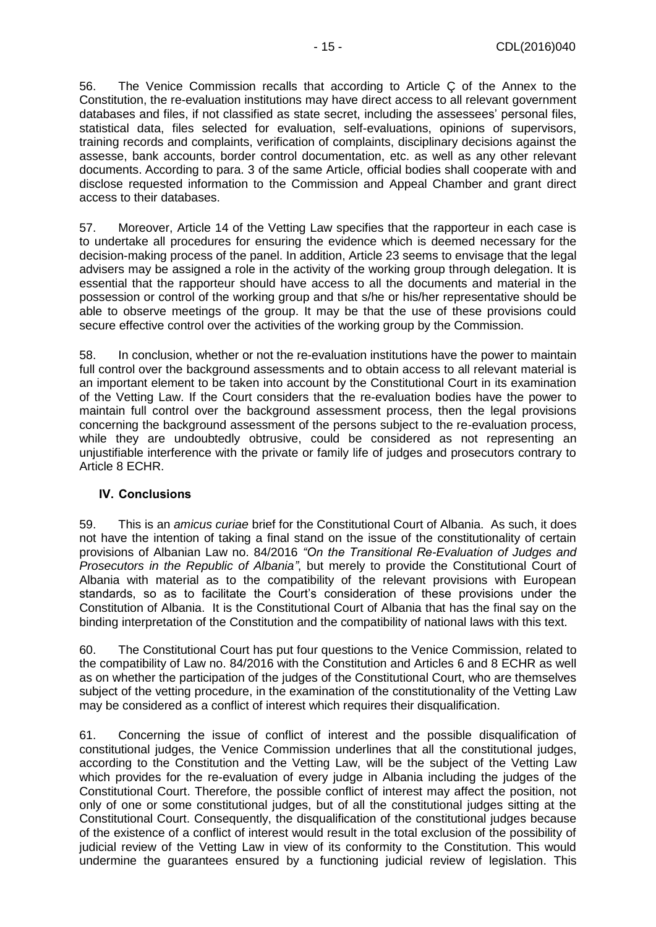56. The Venice Commission recalls that according to Article Ç of the Annex to the Constitution, the re-evaluation institutions may have direct access to all relevant government databases and files, if not classified as state secret, including the assessees' personal files, statistical data, files selected for evaluation, self-evaluations, opinions of supervisors, training records and complaints, verification of complaints, disciplinary decisions against the assesse, bank accounts, border control documentation, etc. as well as any other relevant documents. According to para. 3 of the same Article, official bodies shall cooperate with and disclose requested information to the Commission and Appeal Chamber and grant direct access to their databases.

57. Moreover, Article 14 of the Vetting Law specifies that the rapporteur in each case is to undertake all procedures for ensuring the evidence which is deemed necessary for the decision-making process of the panel. In addition, Article 23 seems to envisage that the legal advisers may be assigned a role in the activity of the working group through delegation. It is essential that the rapporteur should have access to all the documents and material in the possession or control of the working group and that s/he or his/her representative should be able to observe meetings of the group. It may be that the use of these provisions could secure effective control over the activities of the working group by the Commission.

58. In conclusion, whether or not the re-evaluation institutions have the power to maintain full control over the background assessments and to obtain access to all relevant material is an important element to be taken into account by the Constitutional Court in its examination of the Vetting Law. If the Court considers that the re-evaluation bodies have the power to maintain full control over the background assessment process, then the legal provisions concerning the background assessment of the persons subject to the re-evaluation process, while they are undoubtedly obtrusive, could be considered as not representing an unjustifiable interference with the private or family life of judges and prosecutors contrary to Article 8 ECHR.

#### <span id="page-14-0"></span>**IV. Conclusions**

59. This is an *amicus curiae* brief for the Constitutional Court of Albania. As such, it does not have the intention of taking a final stand on the issue of the constitutionality of certain provisions of Albanian Law no. 84/2016 *"On the Transitional Re-Evaluation of Judges and Prosecutors in the Republic of Albania"*, but merely to provide the Constitutional Court of Albania with material as to the compatibility of the relevant provisions with European standards, so as to facilitate the Court's consideration of these provisions under the Constitution of Albania. It is the Constitutional Court of Albania that has the final say on the binding interpretation of the Constitution and the compatibility of national laws with this text.

60. The Constitutional Court has put four questions to the Venice Commission, related to the compatibility of Law no. 84/2016 with the Constitution and Articles 6 and 8 ECHR as well as on whether the participation of the judges of the Constitutional Court, who are themselves subject of the vetting procedure, in the examination of the constitutionality of the Vetting Law may be considered as a conflict of interest which requires their disqualification.

61. Concerning the issue of conflict of interest and the possible disqualification of constitutional judges, the Venice Commission underlines that all the constitutional judges, according to the Constitution and the Vetting Law, will be the subject of the Vetting Law which provides for the re-evaluation of every judge in Albania including the judges of the Constitutional Court. Therefore, the possible conflict of interest may affect the position, not only of one or some constitutional judges, but of all the constitutional judges sitting at the Constitutional Court. Consequently, the disqualification of the constitutional judges because of the existence of a conflict of interest would result in the total exclusion of the possibility of judicial review of the Vetting Law in view of its conformity to the Constitution. This would undermine the guarantees ensured by a functioning judicial review of legislation. This